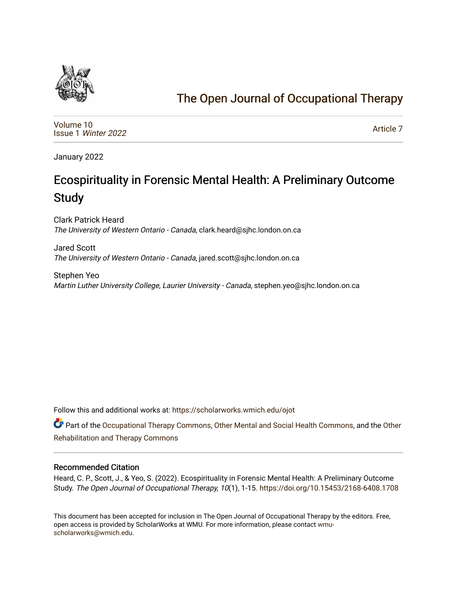

# [The Open Journal of Occupational Therapy](https://scholarworks.wmich.edu/ojot)

[Volume 10](https://scholarworks.wmich.edu/ojot/vol10) Issue 1 [Winter 2022](https://scholarworks.wmich.edu/ojot/vol10/iss1) 

[Article 7](https://scholarworks.wmich.edu/ojot/vol10/iss1/7) 

January 2022

# Ecospirituality in Forensic Mental Health: A Preliminary Outcome **Study**

Clark Patrick Heard The University of Western Ontario - Canada, clark.heard@sjhc.london.on.ca

Jared Scott The University of Western Ontario - Canada, jared.scott@sjhc.london.on.ca

Stephen Yeo Martin Luther University College, Laurier University - Canada, stephen.yeo@sjhc.london.on.ca

Follow this and additional works at: [https://scholarworks.wmich.edu/ojot](https://scholarworks.wmich.edu/ojot?utm_source=scholarworks.wmich.edu%2Fojot%2Fvol10%2Fiss1%2F7&utm_medium=PDF&utm_campaign=PDFCoverPages)

Part of the [Occupational Therapy Commons,](http://network.bepress.com/hgg/discipline/752?utm_source=scholarworks.wmich.edu%2Fojot%2Fvol10%2Fiss1%2F7&utm_medium=PDF&utm_campaign=PDFCoverPages) [Other Mental and Social Health Commons](http://network.bepress.com/hgg/discipline/717?utm_source=scholarworks.wmich.edu%2Fojot%2Fvol10%2Fiss1%2F7&utm_medium=PDF&utm_campaign=PDFCoverPages), and the [Other](http://network.bepress.com/hgg/discipline/758?utm_source=scholarworks.wmich.edu%2Fojot%2Fvol10%2Fiss1%2F7&utm_medium=PDF&utm_campaign=PDFCoverPages)  [Rehabilitation and Therapy Commons](http://network.bepress.com/hgg/discipline/758?utm_source=scholarworks.wmich.edu%2Fojot%2Fvol10%2Fiss1%2F7&utm_medium=PDF&utm_campaign=PDFCoverPages) 

#### Recommended Citation

Heard, C. P., Scott, J., & Yeo, S. (2022). Ecospirituality in Forensic Mental Health: A Preliminary Outcome Study. The Open Journal of Occupational Therapy, 10(1), 1-15. <https://doi.org/10.15453/2168-6408.1708>

This document has been accepted for inclusion in The Open Journal of Occupational Therapy by the editors. Free, open access is provided by ScholarWorks at WMU. For more information, please contact [wmu](mailto:wmu-scholarworks@wmich.edu)[scholarworks@wmich.edu.](mailto:wmu-scholarworks@wmich.edu)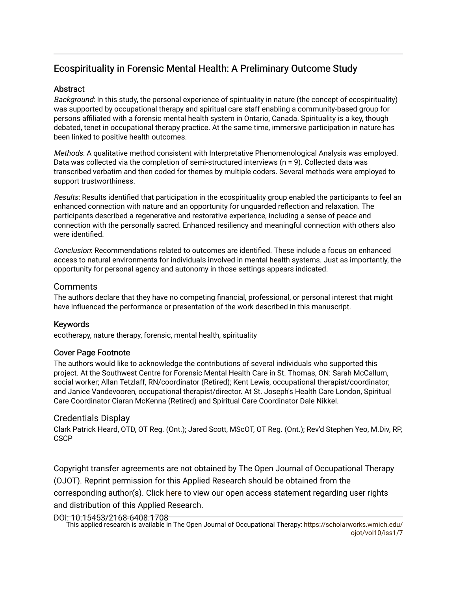# Ecospirituality in Forensic Mental Health: A Preliminary Outcome Study

#### **Abstract**

Background: In this study, the personal experience of spirituality in nature (the concept of ecospirituality) was supported by occupational therapy and spiritual care staff enabling a community-based group for persons affiliated with a forensic mental health system in Ontario, Canada. Spirituality is a key, though debated, tenet in occupational therapy practice. At the same time, immersive participation in nature has been linked to positive health outcomes.

Methods: A qualitative method consistent with Interpretative Phenomenological Analysis was employed. Data was collected via the completion of semi-structured interviews (n = 9). Collected data was transcribed verbatim and then coded for themes by multiple coders. Several methods were employed to support trustworthiness.

Results: Results identified that participation in the ecospirituality group enabled the participants to feel an enhanced connection with nature and an opportunity for unguarded reflection and relaxation. The participants described a regenerative and restorative experience, including a sense of peace and connection with the personally sacred. Enhanced resiliency and meaningful connection with others also were identified.

Conclusion: Recommendations related to outcomes are identified. These include a focus on enhanced access to natural environments for individuals involved in mental health systems. Just as importantly, the opportunity for personal agency and autonomy in those settings appears indicated.

## **Comments**

The authors declare that they have no competing financial, professional, or personal interest that might have influenced the performance or presentation of the work described in this manuscript.

#### Keywords

ecotherapy, nature therapy, forensic, mental health, spirituality

#### Cover Page Footnote

The authors would like to acknowledge the contributions of several individuals who supported this project. At the Southwest Centre for Forensic Mental Health Care in St. Thomas, ON: Sarah McCallum, social worker; Allan Tetzlaff, RN/coordinator (Retired); Kent Lewis, occupational therapist/coordinator; and Janice Vandevooren, occupational therapist/director. At St. Joseph's Health Care London, Spiritual Care Coordinator Ciaran McKenna (Retired) and Spiritual Care Coordinator Dale Nikkel.

#### Credentials Display

Clark Patrick Heard, OTD, OT Reg. (Ont.); Jared Scott, MScOT, OT Reg. (Ont.); Rev'd Stephen Yeo, M.Div, RP, **CSCP** 

Copyright transfer agreements are not obtained by The Open Journal of Occupational Therapy (OJOT). Reprint permission for this Applied Research should be obtained from the corresponding author(s). Click [here](https://scholarworks.wmich.edu/ojot/policies.html#rights) to view our open access statement regarding user rights and distribution of this Applied Research.

DOI: 10.15453/2168-6408.1708

This applied research is available in The Open Journal of Occupational Therapy: [https://scholarworks.wmich.edu/](https://scholarworks.wmich.edu/ojot/vol10/iss1/7) [ojot/vol10/iss1/7](https://scholarworks.wmich.edu/ojot/vol10/iss1/7)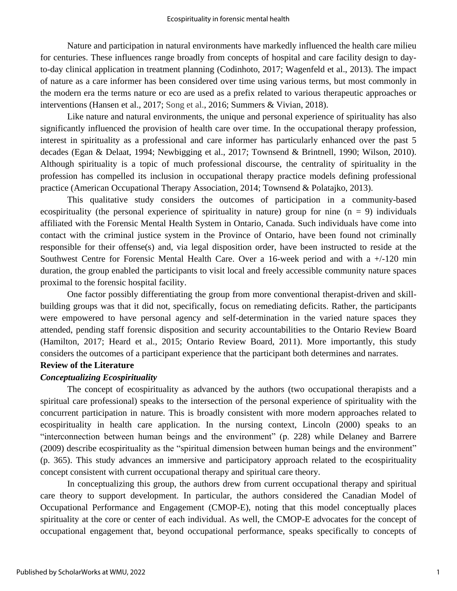Nature and participation in natural environments have markedly influenced the health care milieu for centuries. These influences range broadly from concepts of hospital and care facility design to dayto-day clinical application in treatment planning (Codinhoto, 2017; Wagenfeld et al., 2013). The impact of nature as a care informer has been considered over time using various terms, but most commonly in the modern era the terms nature or eco are used as a prefix related to various therapeutic approaches or interventions (Hansen et al., 2017; Song et al., 2016; Summers & Vivian, 2018).

Like nature and natural environments, the unique and personal experience of spirituality has also significantly influenced the provision of health care over time. In the occupational therapy profession, interest in spirituality as a professional and care informer has particularly enhanced over the past 5 decades (Egan & Delaat, 1994; Newbigging et al., 2017; Townsend & Brintnell, 1990; Wilson, 2010). Although spirituality is a topic of much professional discourse, the centrality of spirituality in the profession has compelled its inclusion in occupational therapy practice models defining professional practice (American Occupational Therapy Association, 2014; Townsend & Polatajko, 2013).

This qualitative study considers the outcomes of participation in a community-based ecospirituality (the personal experience of spirituality in nature) group for nine  $(n = 9)$  individuals affiliated with the Forensic Mental Health System in Ontario, Canada. Such individuals have come into contact with the criminal justice system in the Province of Ontario, have been found not criminally responsible for their offense(s) and, via legal disposition order, have been instructed to reside at the Southwest Centre for Forensic Mental Health Care. Over a 16-week period and with a +/-120 min duration, the group enabled the participants to visit local and freely accessible community nature spaces proximal to the forensic hospital facility.

One factor possibly differentiating the group from more conventional therapist-driven and skillbuilding groups was that it did not, specifically, focus on remediating deficits. Rather, the participants were empowered to have personal agency and self-determination in the varied nature spaces they attended, pending staff forensic disposition and security accountabilities to the Ontario Review Board (Hamilton, 2017; Heard et al., 2015; Ontario Review Board, 2011). More importantly, this study considers the outcomes of a participant experience that the participant both determines and narrates.

#### **Review of the Literature**

#### *Conceptualizing Ecospirituality*

The concept of ecospirituality as advanced by the authors (two occupational therapists and a spiritual care professional) speaks to the intersection of the personal experience of spirituality with the concurrent participation in nature. This is broadly consistent with more modern approaches related to ecospirituality in health care application. In the nursing context, Lincoln (2000) speaks to an "interconnection between human beings and the environment" (p. 228) while Delaney and Barrere (2009) describe ecospirituality as the "spiritual dimension between human beings and the environment" (p. 365). This study advances an immersive and participatory approach related to the ecospirituality concept consistent with current occupational therapy and spiritual care theory.

In conceptualizing this group, the authors drew from current occupational therapy and spiritual care theory to support development. In particular, the authors considered the Canadian Model of Occupational Performance and Engagement (CMOP-E), noting that this model conceptually places spirituality at the core or center of each individual. As well, the CMOP-E advocates for the concept of occupational engagement that, beyond occupational performance, speaks specifically to concepts of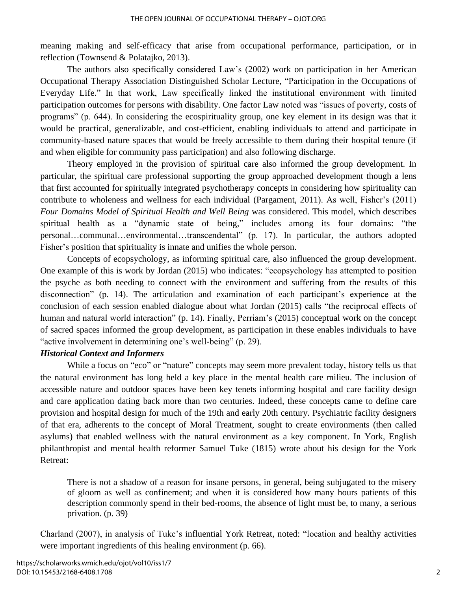meaning making and self-efficacy that arise from occupational performance, participation, or in reflection (Townsend & Polatajko, 2013).

The authors also specifically considered Law's (2002) work on participation in her American Occupational Therapy Association Distinguished Scholar Lecture, "Participation in the Occupations of Everyday Life." In that work, Law specifically linked the institutional environment with limited participation outcomes for persons with disability. One factor Law noted was "issues of poverty, costs of programs" (p. 644). In considering the ecospirituality group, one key element in its design was that it would be practical, generalizable, and cost-efficient, enabling individuals to attend and participate in community-based nature spaces that would be freely accessible to them during their hospital tenure (if and when eligible for community pass participation) and also following discharge.

Theory employed in the provision of spiritual care also informed the group development. In particular, the spiritual care professional supporting the group approached development though a lens that first accounted for spiritually integrated psychotherapy concepts in considering how spirituality can contribute to wholeness and wellness for each individual (Pargament, 2011). As well, Fisher's (2011) *Four Domains Model of Spiritual Health and Well Being* was considered. This model, which describes spiritual health as a "dynamic state of being," includes among its four domains: "the personal…communal…environmental…transcendental" (p. 17). In particular, the authors adopted Fisher's position that spirituality is innate and unifies the whole person.

Concepts of ecopsychology, as informing spiritual care, also influenced the group development. One example of this is work by Jordan (2015) who indicates: "ecopsychology has attempted to position the psyche as both needing to connect with the environment and suffering from the results of this disconnection" (p. 14). The articulation and examination of each participant's experience at the conclusion of each session enabled dialogue about what Jordan (2015) calls "the reciprocal effects of human and natural world interaction" (p. 14). Finally, Perriam's (2015) conceptual work on the concept of sacred spaces informed the group development, as participation in these enables individuals to have "active involvement in determining one's well-being" (p. 29).

#### *Historical Context and Informers*

While a focus on "eco" or "nature" concepts may seem more prevalent today, history tells us that the natural environment has long held a key place in the mental health care milieu. The inclusion of accessible nature and outdoor spaces have been key tenets informing hospital and care facility design and care application dating back more than two centuries. Indeed, these concepts came to define care provision and hospital design for much of the 19th and early 20th century. Psychiatric facility designers of that era, adherents to the concept of Moral Treatment, sought to create environments (then called asylums) that enabled wellness with the natural environment as a key component. In York, English philanthropist and mental health reformer Samuel Tuke (1815) wrote about his design for the York Retreat:

There is not a shadow of a reason for insane persons, in general, being subjugated to the misery of gloom as well as confinement; and when it is considered how many hours patients of this description commonly spend in their bed-rooms, the absence of light must be, to many, a serious privation. (p. 39)

Charland (2007), in analysis of Tuke's influential York Retreat, noted: "location and healthy activities were important ingredients of this healing environment (p. 66).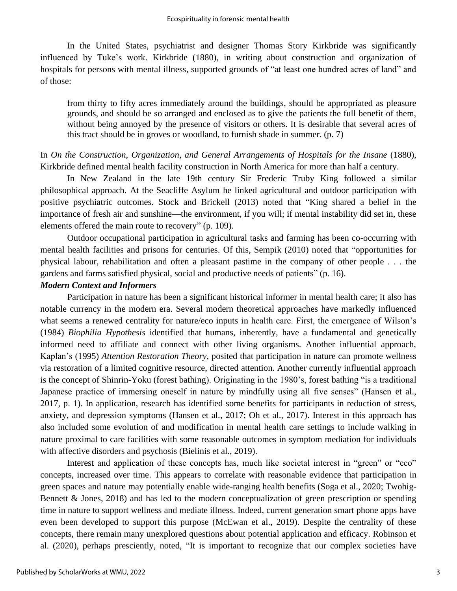In the United States, psychiatrist and designer Thomas Story Kirkbride was significantly influenced by Tuke's work. Kirkbride (1880), in writing about construction and organization of hospitals for persons with mental illness, supported grounds of "at least one hundred acres of land" and of those:

from thirty to fifty acres immediately around the buildings, should be appropriated as pleasure grounds, and should be so arranged and enclosed as to give the patients the full benefit of them, without being annoyed by the presence of visitors or others. It is desirable that several acres of this tract should be in groves or woodland, to furnish shade in summer. (p. 7)

In *On the Construction, Organization, and General Arrangements of Hospitals for the Insane* (1880), Kirkbride defined mental health facility construction in North America for more than half a century.

In New Zealand in the late 19th century Sir Frederic Truby King followed a similar philosophical approach. At the Seacliffe Asylum he linked agricultural and outdoor participation with positive psychiatric outcomes. Stock and Brickell (2013) noted that "King shared a belief in the importance of fresh air and sunshine—the environment, if you will; if mental instability did set in, these elements offered the main route to recovery" (p. 109).

Outdoor occupational participation in agricultural tasks and farming has been co-occurring with mental health facilities and prisons for centuries. Of this, Sempik (2010) noted that "opportunities for physical labour, rehabilitation and often a pleasant pastime in the company of other people . . . the gardens and farms satisfied physical, social and productive needs of patients" (p. 16).

#### *Modern Context and Informers*

Participation in nature has been a significant historical informer in mental health care; it also has notable currency in the modern era. Several modern theoretical approaches have markedly influenced what seems a renewed centrality for nature/eco inputs in health care. First, the emergence of Wilson's (1984) *Biophilia Hypothesis* identified that humans, inherently, have a fundamental and genetically informed need to affiliate and connect with other living organisms. Another influential approach, Kaplan's (1995) *Attention Restoration Theory*, posited that participation in nature can promote wellness via restoration of a limited cognitive resource, directed attention. Another currently influential approach is the concept of Shinrin-Yoku (forest bathing). Originating in the 1980's, forest bathing "is a traditional Japanese practice of immersing oneself in nature by mindfully using all five senses" (Hansen et al., 2017, p. 1). In application, research has identified some benefits for participants in reduction of stress, anxiety, and depression symptoms (Hansen et al., 2017; Oh et al., 2017). Interest in this approach has also included some evolution of and modification in mental health care settings to include walking in nature proximal to care facilities with some reasonable outcomes in symptom mediation for individuals with affective disorders and psychosis (Bielinis et al., 2019).

Interest and application of these concepts has, much like societal interest in "green" or "eco" concepts, increased over time. This appears to correlate with reasonable evidence that participation in green spaces and nature may potentially enable wide-ranging health benefits (Soga et al., 2020; Twohig-Bennett & Jones, 2018) and has led to the modern conceptualization of green prescription or spending time in nature to support wellness and mediate illness. Indeed, current generation smart phone apps have even been developed to support this purpose (McEwan et al., 2019). Despite the centrality of these concepts, there remain many unexplored questions about potential application and efficacy. Robinson et al. (2020), perhaps presciently, noted, "It is important to recognize that our complex societies have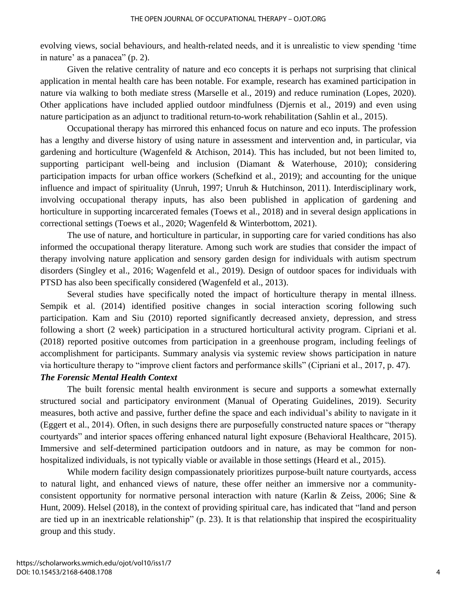evolving views, social behaviours, and health-related needs, and it is unrealistic to view spending 'time in nature' as a panacea" (p. 2).

Given the relative centrality of nature and eco concepts it is perhaps not surprising that clinical application in mental health care has been notable. For example, research has examined participation in nature via walking to both mediate stress (Marselle et al., 2019) and reduce rumination (Lopes, 2020). Other applications have included applied outdoor mindfulness (Djernis et al., 2019) and even using nature participation as an adjunct to traditional return-to-work rehabilitation (Sahlin et al., 2015).

Occupational therapy has mirrored this enhanced focus on nature and eco inputs. The profession has a lengthy and diverse history of using nature in assessment and intervention and, in particular, via gardening and horticulture (Wagenfeld & Atchison, 2014). This has included, but not been limited to, supporting participant well-being and inclusion (Diamant & Waterhouse, 2010); considering participation impacts for urban office workers (Schefkind et al., 2019); and accounting for the unique influence and impact of spirituality (Unruh, 1997; Unruh & Hutchinson, 2011). Interdisciplinary work, involving occupational therapy inputs, has also been published in application of gardening and horticulture in supporting incarcerated females (Toews et al., 2018) and in several design applications in correctional settings (Toews et al., 2020; Wagenfeld & Winterbottom, 2021).

The use of nature, and horticulture in particular, in supporting care for varied conditions has also informed the occupational therapy literature. Among such work are studies that consider the impact of therapy involving nature application and sensory garden design for individuals with autism spectrum disorders (Singley et al., 2016; Wagenfeld et al., 2019). Design of outdoor spaces for individuals with PTSD has also been specifically considered (Wagenfeld et al., 2013).

Several studies have specifically noted the impact of horticulture therapy in mental illness. Sempik et al. (2014) identified positive changes in social interaction scoring following such participation. Kam and Siu (2010) reported significantly decreased anxiety, depression, and stress following a short (2 week) participation in a structured horticultural activity program. Cipriani et al. (2018) reported positive outcomes from participation in a greenhouse program, including feelings of accomplishment for participants. Summary analysis via systemic review shows participation in nature via horticulture therapy to "improve client factors and performance skills" (Cipriani et al., 2017, p. 47).

#### *The Forensic Mental Health Context*

The built forensic mental health environment is secure and supports a somewhat externally structured social and participatory environment (Manual of Operating Guidelines, 2019). Security measures, both active and passive, further define the space and each individual's ability to navigate in it (Eggert et al., 2014). Often, in such designs there are purposefully constructed nature spaces or "therapy courtyards" and interior spaces offering enhanced natural light exposure (Behavioral Healthcare, 2015). Immersive and self-determined participation outdoors and in nature, as may be common for nonhospitalized individuals, is not typically viable or available in those settings (Heard et al., 2015).

While modern facility design compassionately prioritizes purpose-built nature courtyards, access to natural light, and enhanced views of nature, these offer neither an immersive nor a communityconsistent opportunity for normative personal interaction with nature (Karlin & Zeiss, 2006; Sine  $\&$ Hunt, 2009). Helsel (2018), in the context of providing spiritual care, has indicated that "land and person are tied up in an inextricable relationship" (p. 23). It is that relationship that inspired the ecospirituality group and this study.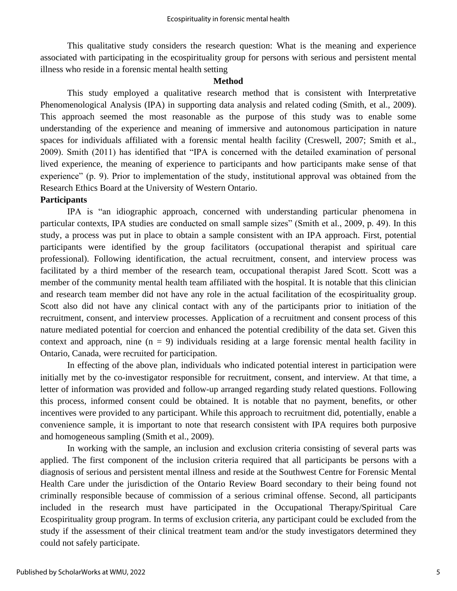This qualitative study considers the research question: What is the meaning and experience associated with participating in the ecospirituality group for persons with serious and persistent mental illness who reside in a forensic mental health setting

#### **Method**

This study employed a qualitative research method that is consistent with Interpretative Phenomenological Analysis (IPA) in supporting data analysis and related coding (Smith, et al., 2009). This approach seemed the most reasonable as the purpose of this study was to enable some understanding of the experience and meaning of immersive and autonomous participation in nature spaces for individuals affiliated with a forensic mental health facility (Creswell, 2007; Smith et al., 2009). Smith (2011) has identified that "IPA is concerned with the detailed examination of personal lived experience, the meaning of experience to participants and how participants make sense of that experience" (p. 9). Prior to implementation of the study, institutional approval was obtained from the Research Ethics Board at the University of Western Ontario.

## **Participants**

IPA is "an idiographic approach, concerned with understanding particular phenomena in particular contexts, IPA studies are conducted on small sample sizes" (Smith et al., 2009, p. 49). In this study, a process was put in place to obtain a sample consistent with an IPA approach. First, potential participants were identified by the group facilitators (occupational therapist and spiritual care professional). Following identification, the actual recruitment, consent, and interview process was facilitated by a third member of the research team, occupational therapist Jared Scott. Scott was a member of the community mental health team affiliated with the hospital. It is notable that this clinician and research team member did not have any role in the actual facilitation of the ecospirituality group. Scott also did not have any clinical contact with any of the participants prior to initiation of the recruitment, consent, and interview processes. Application of a recruitment and consent process of this nature mediated potential for coercion and enhanced the potential credibility of the data set. Given this context and approach, nine  $(n = 9)$  individuals residing at a large forensic mental health facility in Ontario, Canada, were recruited for participation.

In effecting of the above plan, individuals who indicated potential interest in participation were initially met by the co-investigator responsible for recruitment, consent, and interview. At that time, a letter of information was provided and follow-up arranged regarding study related questions. Following this process, informed consent could be obtained. It is notable that no payment, benefits, or other incentives were provided to any participant. While this approach to recruitment did, potentially, enable a convenience sample, it is important to note that research consistent with IPA requires both purposive and homogeneous sampling (Smith et al., 2009).

In working with the sample, an inclusion and exclusion criteria consisting of several parts was applied. The first component of the inclusion criteria required that all participants be persons with a diagnosis of serious and persistent mental illness and reside at the Southwest Centre for Forensic Mental Health Care under the jurisdiction of the Ontario Review Board secondary to their being found not criminally responsible because of commission of a serious criminal offense. Second, all participants included in the research must have participated in the Occupational Therapy/Spiritual Care Ecospirituality group program. In terms of exclusion criteria, any participant could be excluded from the study if the assessment of their clinical treatment team and/or the study investigators determined they could not safely participate.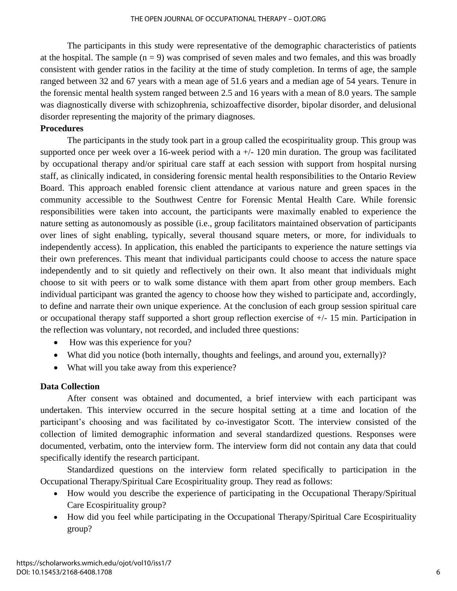The participants in this study were representative of the demographic characteristics of patients at the hospital. The sample  $(n = 9)$  was comprised of seven males and two females, and this was broadly consistent with gender ratios in the facility at the time of study completion. In terms of age, the sample ranged between 32 and 67 years with a mean age of 51.6 years and a median age of 54 years. Tenure in the forensic mental health system ranged between 2.5 and 16 years with a mean of 8.0 years. The sample was diagnostically diverse with schizophrenia, schizoaffective disorder, bipolar disorder, and delusional disorder representing the majority of the primary diagnoses.

#### **Procedures**

The participants in the study took part in a group called the ecospirituality group. This group was supported once per week over a 16-week period with a  $+/- 120$  min duration. The group was facilitated by occupational therapy and/or spiritual care staff at each session with support from hospital nursing staff, as clinically indicated, in considering forensic mental health responsibilities to the Ontario Review Board. This approach enabled forensic client attendance at various nature and green spaces in the community accessible to the Southwest Centre for Forensic Mental Health Care. While forensic responsibilities were taken into account, the participants were maximally enabled to experience the nature setting as autonomously as possible (i.e., group facilitators maintained observation of participants over lines of sight enabling, typically, several thousand square meters, or more, for individuals to independently access). In application, this enabled the participants to experience the nature settings via their own preferences. This meant that individual participants could choose to access the nature space independently and to sit quietly and reflectively on their own. It also meant that individuals might choose to sit with peers or to walk some distance with them apart from other group members. Each individual participant was granted the agency to choose how they wished to participate and, accordingly, to define and narrate their own unique experience. At the conclusion of each group session spiritual care or occupational therapy staff supported a short group reflection exercise of +/- 15 min. Participation in the reflection was voluntary, not recorded, and included three questions:

- How was this experience for you?
- What did you notice (both internally, thoughts and feelings, and around you, externally)?
- What will you take away from this experience?

#### **Data Collection**

After consent was obtained and documented, a brief interview with each participant was undertaken. This interview occurred in the secure hospital setting at a time and location of the participant's choosing and was facilitated by co-investigator Scott. The interview consisted of the collection of limited demographic information and several standardized questions. Responses were documented, verbatim, onto the interview form. The interview form did not contain any data that could specifically identify the research participant.

Standardized questions on the interview form related specifically to participation in the Occupational Therapy/Spiritual Care Ecospirituality group. They read as follows:

- How would you describe the experience of participating in the Occupational Therapy/Spiritual Care Ecospirituality group?
- How did you feel while participating in the Occupational Therapy/Spiritual Care Ecospirituality group?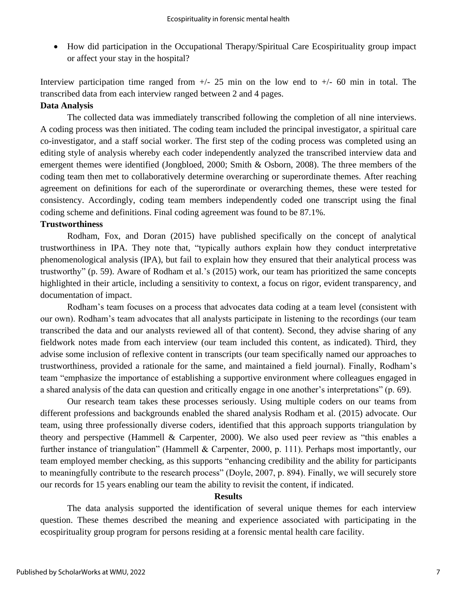• How did participation in the Occupational Therapy/Spiritual Care Ecospirituality group impact or affect your stay in the hospital?

Interview participation time ranged from  $+/- 25$  min on the low end to  $+/- 60$  min in total. The transcribed data from each interview ranged between 2 and 4 pages.

## **Data Analysis**

The collected data was immediately transcribed following the completion of all nine interviews. A coding process was then initiated. The coding team included the principal investigator, a spiritual care co-investigator, and a staff social worker. The first step of the coding process was completed using an editing style of analysis whereby each coder independently analyzed the transcribed interview data and emergent themes were identified (Jongbloed, 2000; Smith & Osborn, 2008). The three members of the coding team then met to collaboratively determine overarching or superordinate themes. After reaching agreement on definitions for each of the superordinate or overarching themes, these were tested for consistency. Accordingly, coding team members independently coded one transcript using the final coding scheme and definitions. Final coding agreement was found to be 87.1%.

#### **Trustworthiness**

Rodham, Fox, and Doran (2015) have published specifically on the concept of analytical trustworthiness in IPA. They note that, "typically authors explain how they conduct interpretative phenomenological analysis (IPA), but fail to explain how they ensured that their analytical process was trustworthy" (p. 59). Aware of Rodham et al.'s (2015) work, our team has prioritized the same concepts highlighted in their article, including a sensitivity to context, a focus on rigor, evident transparency, and documentation of impact.

Rodham's team focuses on a process that advocates data coding at a team level (consistent with our own). Rodham's team advocates that all analysts participate in listening to the recordings (our team transcribed the data and our analysts reviewed all of that content). Second, they advise sharing of any fieldwork notes made from each interview (our team included this content, as indicated). Third, they advise some inclusion of reflexive content in transcripts (our team specifically named our approaches to trustworthiness, provided a rationale for the same, and maintained a field journal). Finally, Rodham's team "emphasize the importance of establishing a supportive environment where colleagues engaged in a shared analysis of the data can question and critically engage in one another's interpretations" (p. 69).

Our research team takes these processes seriously. Using multiple coders on our teams from different professions and backgrounds enabled the shared analysis Rodham et al. (2015) advocate. Our team, using three professionally diverse coders, identified that this approach supports triangulation by theory and perspective (Hammell & Carpenter, 2000). We also used peer review as "this enables a further instance of triangulation" (Hammell & Carpenter, 2000, p. 111). Perhaps most importantly, our team employed member checking, as this supports "enhancing credibility and the ability for participants to meaningfully contribute to the research process" (Doyle, 2007, p. 894). Finally, we will securely store our records for 15 years enabling our team the ability to revisit the content, if indicated.

#### **Results**

The data analysis supported the identification of several unique themes for each interview question. These themes described the meaning and experience associated with participating in the ecospirituality group program for persons residing at a forensic mental health care facility.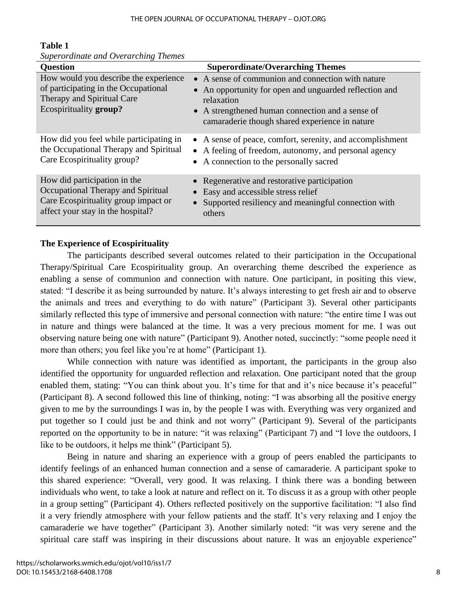| 1 avit 1                              |           |
|---------------------------------------|-----------|
| Superordinate and Overarching Themes  |           |
| <b>Question</b>                       |           |
| How would you describe the experience | $\bullet$ |
| of participating in the Occupational  |           |
|                                       |           |

## **Table 1**

**Superordinate/Overarching Themes** Therapy and Spiritual Care Ecospirituality **group?** • A sense of communion and connection with nature • An opportunity for open and unguarded reflection and relaxation • A strengthened human connection and a sense of camaraderie though shared experience in nature How did you feel while participating in the Occupational Therapy and Spiritual Care Ecospirituality group? • A sense of peace, comfort, serenity, and accomplishment • A feeling of freedom, autonomy, and personal agency • A connection to the personally sacred How did participation in the Occupational Therapy and Spiritual Care Ecospirituality group impact or affect your stay in the hospital? • Regenerative and restorative participation • Easy and accessible stress relief • Supported resiliency and meaningful connection with others

## **The Experience of Ecospirituality**

The participants described several outcomes related to their participation in the Occupational Therapy/Spiritual Care Ecospirituality group. An overarching theme described the experience as enabling a sense of communion and connection with nature. One participant, in positing this view, stated: "I describe it as being surrounded by nature. It's always interesting to get fresh air and to observe the animals and trees and everything to do with nature" (Participant 3). Several other participants similarly reflected this type of immersive and personal connection with nature: "the entire time I was out in nature and things were balanced at the time. It was a very precious moment for me. I was out observing nature being one with nature" (Participant 9). Another noted, succinctly: "some people need it more than others; you feel like you're at home" (Participant 1).

While connection with nature was identified as important, the participants in the group also identified the opportunity for unguarded reflection and relaxation. One participant noted that the group enabled them, stating: "You can think about you. It's time for that and it's nice because it's peaceful" (Participant 8). A second followed this line of thinking, noting: "I was absorbing all the positive energy given to me by the surroundings I was in, by the people I was with. Everything was very organized and put together so I could just be and think and not worry" (Participant 9). Several of the participants reported on the opportunity to be in nature: "it was relaxing" (Participant 7) and "I love the outdoors, I like to be outdoors, it helps me think" (Participant 5).

Being in nature and sharing an experience with a group of peers enabled the participants to identify feelings of an enhanced human connection and a sense of camaraderie. A participant spoke to this shared experience: "Overall, very good. It was relaxing. I think there was a bonding between individuals who went, to take a look at nature and reflect on it. To discuss it as a group with other people in a group setting" (Participant 4). Others reflected positively on the supportive facilitation: "I also find it a very friendly atmosphere with your fellow patients and the staff. It's very relaxing and I enjoy the camaraderie we have together" (Participant 3). Another similarly noted: "it was very serene and the spiritual care staff was inspiring in their discussions about nature. It was an enjoyable experience"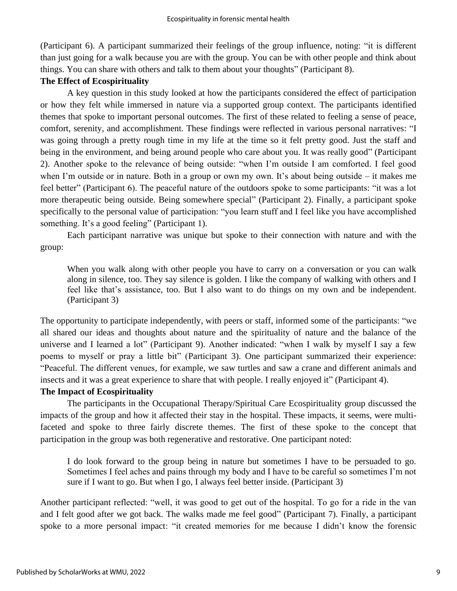(Participant 6). A participant summarized their feelings of the group influence, noting: "it is different than just going for a walk because you are with the group. You can be with other people and think about things. You can share with others and talk to them about your thoughts" (Participant 8).

#### **The Effect of Ecospirituality**

A key question in this study looked at how the participants considered the effect of participation or how they felt while immersed in nature via a supported group context. The participants identified themes that spoke to important personal outcomes. The first of these related to feeling a sense of peace, comfort, serenity, and accomplishment. These findings were reflected in various personal narratives: "I was going through a pretty rough time in my life at the time so it felt pretty good. Just the staff and being in the environment, and being around people who care about you. It was really good" (Participant 2). Another spoke to the relevance of being outside: "when I'm outside I am comforted. I feel good when I'm outside or in nature. Both in a group or own my own. It's about being outside – it makes me feel better" (Participant 6). The peaceful nature of the outdoors spoke to some participants: "it was a lot more therapeutic being outside. Being somewhere special" (Participant 2). Finally, a participant spoke specifically to the personal value of participation: "you learn stuff and I feel like you have accomplished something. It's a good feeling" (Participant 1).

Each participant narrative was unique but spoke to their connection with nature and with the group:

When you walk along with other people you have to carry on a conversation or you can walk along in silence, too. They say silence is golden. I like the company of walking with others and I feel like that's assistance, too. But I also want to do things on my own and be independent. (Participant 3)

The opportunity to participate independently, with peers or staff, informed some of the participants: "we all shared our ideas and thoughts about nature and the spirituality of nature and the balance of the universe and I learned a lot" (Participant 9). Another indicated: "when I walk by myself I say a few poems to myself or pray a little bit" (Participant 3). One participant summarized their experience: "Peaceful. The different venues, for example, we saw turtles and saw a crane and different animals and insects and it was a great experience to share that with people. I really enjoyed it" (Participant 4).

## **The Impact of Ecospirituality**

The participants in the Occupational Therapy/Spiritual Care Ecospirituality group discussed the impacts of the group and how it affected their stay in the hospital. These impacts, it seems, were multifaceted and spoke to three fairly discrete themes. The first of these spoke to the concept that participation in the group was both regenerative and restorative. One participant noted:

I do look forward to the group being in nature but sometimes I have to be persuaded to go. Sometimes I feel aches and pains through my body and I have to be careful so sometimes I'm not sure if I want to go. But when I go, I always feel better inside. (Participant 3)

Another participant reflected: "well, it was good to get out of the hospital. To go for a ride in the van and I felt good after we got back. The walks made me feel good" (Participant 7). Finally, a participant spoke to a more personal impact: "it created memories for me because I didn't know the forensic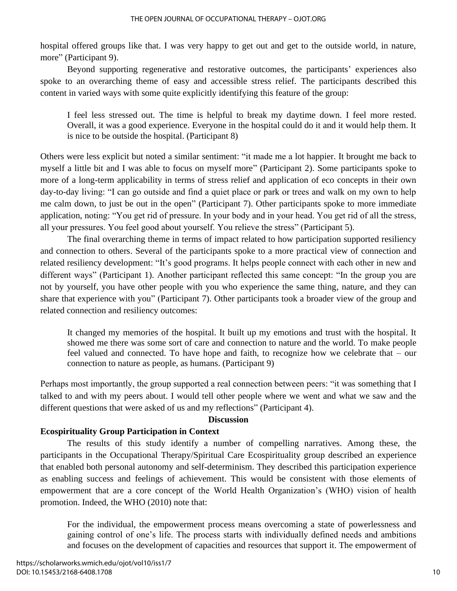hospital offered groups like that. I was very happy to get out and get to the outside world, in nature, more" (Participant 9).

Beyond supporting regenerative and restorative outcomes, the participants' experiences also spoke to an overarching theme of easy and accessible stress relief. The participants described this content in varied ways with some quite explicitly identifying this feature of the group:

I feel less stressed out. The time is helpful to break my daytime down. I feel more rested. Overall, it was a good experience. Everyone in the hospital could do it and it would help them. It is nice to be outside the hospital. (Participant 8)

Others were less explicit but noted a similar sentiment: "it made me a lot happier. It brought me back to myself a little bit and I was able to focus on myself more" (Participant 2). Some participants spoke to more of a long-term applicability in terms of stress relief and application of eco concepts in their own day-to-day living: "I can go outside and find a quiet place or park or trees and walk on my own to help me calm down, to just be out in the open" (Participant 7). Other participants spoke to more immediate application, noting: "You get rid of pressure. In your body and in your head. You get rid of all the stress, all your pressures. You feel good about yourself. You relieve the stress" (Participant 5).

The final overarching theme in terms of impact related to how participation supported resiliency and connection to others. Several of the participants spoke to a more practical view of connection and related resiliency development: "It's good programs. It helps people connect with each other in new and different ways" (Participant 1). Another participant reflected this same concept: "In the group you are not by yourself, you have other people with you who experience the same thing, nature, and they can share that experience with you" (Participant 7). Other participants took a broader view of the group and related connection and resiliency outcomes:

It changed my memories of the hospital. It built up my emotions and trust with the hospital. It showed me there was some sort of care and connection to nature and the world. To make people feel valued and connected. To have hope and faith, to recognize how we celebrate that – our connection to nature as people, as humans. (Participant 9)

Perhaps most importantly, the group supported a real connection between peers: "it was something that I talked to and with my peers about. I would tell other people where we went and what we saw and the different questions that were asked of us and my reflections" (Participant 4).

#### **Discussion**

#### **Ecospirituality Group Participation in Context**

The results of this study identify a number of compelling narratives. Among these, the participants in the Occupational Therapy/Spiritual Care Ecospirituality group described an experience that enabled both personal autonomy and self-determinism. They described this participation experience as enabling success and feelings of achievement. This would be consistent with those elements of empowerment that are a core concept of the World Health Organization's (WHO) vision of health promotion. Indeed, the WHO (2010) note that:

For the individual, the empowerment process means overcoming a state of powerlessness and gaining control of one's life. The process starts with individually defined needs and ambitions and focuses on the development of capacities and resources that support it. The empowerment of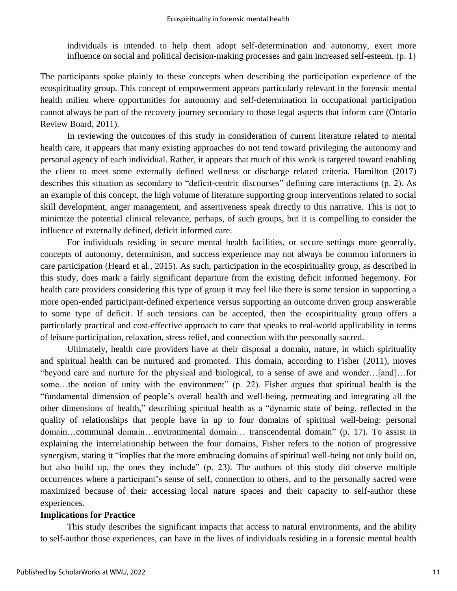individuals is intended to help them adopt self-determination and autonomy, exert more influence on social and political decision-making processes and gain increased self-esteem. (p. 1)

The participants spoke plainly to these concepts when describing the participation experience of the ecospirituality group. This concept of empowerment appears particularly relevant in the forensic mental health milieu where opportunities for autonomy and self-determination in occupational participation cannot always be part of the recovery journey secondary to those legal aspects that inform care (Ontario Review Board, 2011).

In reviewing the outcomes of this study in consideration of current literature related to mental health care, it appears that many existing approaches do not tend toward privileging the autonomy and personal agency of each individual. Rather, it appears that much of this work is targeted toward enabling the client to meet some externally defined wellness or discharge related criteria. Hamilton (2017) describes this situation as secondary to "deficit-centric discourses" defining care interactions (p. 2). As an example of this concept, the high volume of literature supporting group interventions related to social skill development, anger management, and assertiveness speak directly to this narrative. This is not to minimize the potential clinical relevance, perhaps, of such groups, but it is compelling to consider the influence of externally defined, deficit informed care.

For individuals residing in secure mental health facilities, or secure settings more generally, concepts of autonomy, determinism, and success experience may not always be common informers in care participation (Heard et al., 2015). As such, participation in the ecospirituality group, as described in this study, does mark a fairly significant departure from the existing deficit informed hegemony. For health care providers considering this type of group it may feel like there is some tension in supporting a more open-ended participant-defined experience versus supporting an outcome driven group answerable to some type of deficit. If such tensions can be accepted, then the ecospirituality group offers a particularly practical and cost-effective approach to care that speaks to real-world applicability in terms of leisure participation, relaxation, stress relief, and connection with the personally sacred.

Ultimately, health care providers have at their disposal a domain, nature, in which spirituality and spiritual health can be nurtured and promoted. This domain, according to Fisher (2011), moves "beyond care and nurture for the physical and biological, to a sense of awe and wonder…[and]…for some...the notion of unity with the environment" (p. 22). Fisher argues that spiritual health is the "fundamental dimension of people's overall health and well-being, permeating and integrating all the other dimensions of health," describing spiritual health as a "dynamic state of being, reflected in the quality of relationships that people have in up to four domains of spiritual well-being: personal domain…communal domain…environmental domain… transcendental domain" (p. 17). To assist in explaining the interrelationship between the four domains, Fisher refers to the notion of progressive synergism, stating it "implies that the more embracing domains of spiritual well-being not only build on, but also build up, the ones they include" (p. 23). The authors of this study did observe multiple occurrences where a participant's sense of self, connection to others, and to the personally sacred were maximized because of their accessing local nature spaces and their capacity to self-author these experiences.

#### **Implications for Practice**

This study describes the significant impacts that access to natural environments, and the ability to self-author those experiences, can have in the lives of individuals residing in a forensic mental health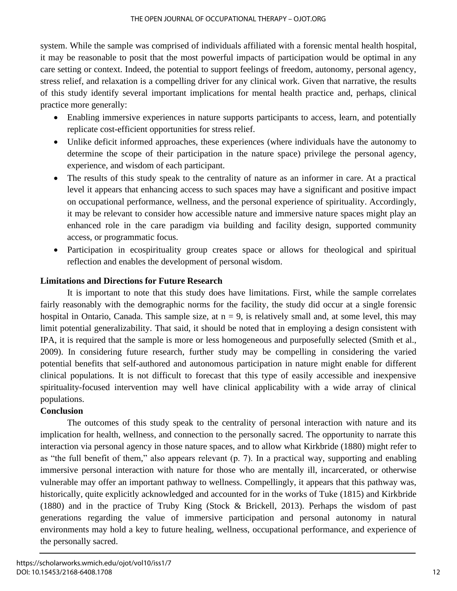system. While the sample was comprised of individuals affiliated with a forensic mental health hospital, it may be reasonable to posit that the most powerful impacts of participation would be optimal in any care setting or context. Indeed, the potential to support feelings of freedom, autonomy, personal agency, stress relief, and relaxation is a compelling driver for any clinical work. Given that narrative, the results of this study identify several important implications for mental health practice and, perhaps, clinical practice more generally:

- Enabling immersive experiences in nature supports participants to access, learn, and potentially replicate cost-efficient opportunities for stress relief.
- Unlike deficit informed approaches, these experiences (where individuals have the autonomy to determine the scope of their participation in the nature space) privilege the personal agency, experience, and wisdom of each participant.
- The results of this study speak to the centrality of nature as an informer in care. At a practical level it appears that enhancing access to such spaces may have a significant and positive impact on occupational performance, wellness, and the personal experience of spirituality. Accordingly, it may be relevant to consider how accessible nature and immersive nature spaces might play an enhanced role in the care paradigm via building and facility design, supported community access, or programmatic focus.
- Participation in ecospirituality group creates space or allows for theological and spiritual reflection and enables the development of personal wisdom.

## **Limitations and Directions for Future Research**

It is important to note that this study does have limitations. First, while the sample correlates fairly reasonably with the demographic norms for the facility, the study did occur at a single forensic hospital in Ontario, Canada. This sample size, at  $n = 9$ , is relatively small and, at some level, this may limit potential generalizability. That said, it should be noted that in employing a design consistent with IPA, it is required that the sample is more or less homogeneous and purposefully selected (Smith et al., 2009). In considering future research, further study may be compelling in considering the varied potential benefits that self-authored and autonomous participation in nature might enable for different clinical populations. It is not difficult to forecast that this type of easily accessible and inexpensive spirituality-focused intervention may well have clinical applicability with a wide array of clinical populations.

# **Conclusion**

The outcomes of this study speak to the centrality of personal interaction with nature and its implication for health, wellness, and connection to the personally sacred. The opportunity to narrate this interaction via personal agency in those nature spaces, and to allow what Kirkbride (1880) might refer to as "the full benefit of them," also appears relevant (p. 7). In a practical way, supporting and enabling immersive personal interaction with nature for those who are mentally ill, incarcerated, or otherwise vulnerable may offer an important pathway to wellness. Compellingly, it appears that this pathway was, historically, quite explicitly acknowledged and accounted for in the works of Tuke (1815) and Kirkbride (1880) and in the practice of Truby King (Stock & Brickell, 2013). Perhaps the wisdom of past generations regarding the value of immersive participation and personal autonomy in natural environments may hold a key to future healing, wellness, occupational performance, and experience of the personally sacred.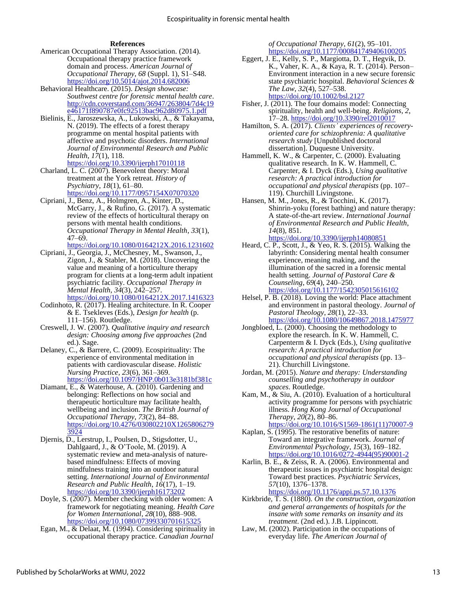#### **References**

- American Occupational Therapy Association. (2014). Occupational therapy practice framework domain and process. *American Journal of Occupational Therapy*, *68* (Suppl. 1), S1–S48. <https://doi.org/10.5014/ajot.2014.682006>
- Behavioral Healthcare. (2015). *Design showcase: Southwest centre for forensic mental health care*. [http://cdn.coverstand.com/36947/263804/7d4c19](http://cdn.coverstand.com/36947/263804/7d4c19e46171f890787e0fc92513bac962d80975.1.pdf) [e46171f890787e0fc92513bac962d80975.1.pdf](http://cdn.coverstand.com/36947/263804/7d4c19e46171f890787e0fc92513bac962d80975.1.pdf)
- Bielinis, E., Jaroszewska, A., Lukowski, A., & Takayama, N. (2019). The effects of a forest therapy programme on mental hospital patients with affective and psychotic disorders. *International Journal of Environmental Research and Public Health*, *17*(1), 118. <https://doi.org/10.3390/ijerph17010118>
- Charland, L. C. (2007). Benevolent theory: Moral treatment at the York retreat. *History of Psychiatry*, *18*(1), 61–80.

<https://doi.org/10.1177/0957154X07070320> Cipriani, J., Benz, A., Holmgren, A., Kinter, D.,

McGarry, J., & Rufino, G. (2017). A systematic review of the effects of horticultural therapy on persons with mental health conditions. *Occupational Therapy in Mental Health*, *33*(1), 47–69.

<https://doi.org/10.1080/0164212X.2016.1231602>

Cipriani, J., Georgia, J., McChesney, M., Swanson, J., Zigon, J., & Stabler, M. (2018). Uncovering the value and meaning of a horticulture therapy program for clients at a long-term adult inpatient psychiatric facility. *Occupational Therapy in Mental Health*, *34*(3), 242–257.

https://doi.org/10.1080/0164212X.2017.1416323

- Codinhoto, R. (2017). Healing architecture. In R. Cooper & E. Tsekleves (Eds.), *Design for health* (p. 111–156). Routledge.
- Creswell, J. W. (2007). *Qualitative inquiry and research design: Choosing among five approaches* (2nd ed.). Sage.
- Delaney, C., & Barrere, C. (2009). Ecospirituality: The experience of environmental meditation in patients with cardiovascular disease. *Holistic Nursing Practice*, *23*(6), 361–369. <https://doi.org/10.1097/HNP.0b013e3181bf381c>
- Diamant, E., & Waterhouse, A. (2010). Gardening and belonging: Reflections on how social and therapeutic horticulture may facilitate health, wellbeing and inclusion. *The British Journal of Occupational Therapy*, *73*(2), 84–88. [https://doi.org/10.4276/030802210X1265806279](https://doi.org/10.4276/030802210X12658062793924)  $3924$
- Djernis, D., Lerstrup, I., Poulsen, D., Stigsdotter, U., Dahlgaard, J., & O'Toole, M. (2019). A systematic review and meta-analysis of naturebased mindfulness: Effects of moving mindfulness training into an outdoor natural setting. *International Journal of Environmental Research and Public Health*, *16*(17), 1–19. <https://doi.org/10.3390/ijerph16173202>
- Doyle, S. (2007). Member checking with older women: A framework for negotiating meaning. *Health Care for Women International*, *28*(10), 888–908. <https://doi.org/10.1080/07399330701615325>
- Egan, M., & Delaat, M. (1994). Considering spirituality in occupational therapy practice. *Canadian Journal*

*of Occupational Therapy*, *61*(2), 95–101. <https://doi.org/10.1177/000841749406100205>

- Eggert, J. E., Kelly, S. P., Margiotta, D. T., Hegvik, D. K., Vaher, K. A., & Kaya, R. T. (2014). Person– Environment interaction in a new secure forensic state psychiatric hospital. *Behavioral Sciences & The Law*, *32*(4), 527–538. <https://doi.org/10.1002/bsl.2127>
- Fisher, J. (2011). The four domains model: Connecting spirituality, health and well-being. *Religions*, *2*, 17–28. <https://doi.org/10.3390/rel2010017>
- Hamilton, S. A. (2017). *Clients' experiences of recoveryoriented care for schizophrenia: A qualitative research study* [Unpublished doctoral dissertation]. Duquesne University.
- Hammell, K. W., & Carpenter, C. (2000). Evaluating qualitative research. In K. W. Hammell, C. Carpenter, & I. Dyck (Eds.), *Using qualitative research: A practical introduction for occupational and physical therapists* (pp. 107– 119). Churchill Livingstone.
- Hansen, M. M., Jones, R., & Tocchini, K. (2017). Shinrin-yoku (forest bathing) and nature therapy: A state-of-the-art review. *International Journal of Environmental Research and Public Health*, *14*(8), 851. <https://doi.org/10.3390/ijerph14080851>
- Heard, C. P., Scott, J., & Yeo, R. S. (2015). Walking the labyrinth: Considering mental health consumer experience, meaning making, and the illumination of the sacred in a forensic mental health setting. *Journal of Pastoral Care & Counseling*, *69*(4), 240–250. <https://doi.org/10.1177/1542305015616102>
- Helsel, P. B. (2018). Loving the world: Place attachment and environment in pastoral theology. *Journal of Pastoral Theology*, *28*(1), 22–33. <https://doi.org/10.1080/10649867.2018.1475977>
- Jongbloed, L. (2000). Choosing the methodology to explore the research. In K. W. Hammell, C. Carpenterm & I. Dyck (Eds.), *Using qualitative research: A practical introduction for occupational and physical therapists* (pp. 13– 21). Churchill Livingstone.
- Jordan, M. (2015). *Nature and therapy: Understanding counselling and psychotherapy in outdoor spaces*. Routledge.
- Kam, M., & Siu, A. (2010). Evaluation of a horticultural activity programme for persons with psychiatric illness. *Hong Kong Journal of Occupational Therapy*, *20*(2), 80–86. [https://doi.org/10.1016/S1569-1861\(11\)70007-9](https://doi.org/10.1016/S1569-1861(11)70007-9)
- Kaplan, S. (1995). The restorative benefits of nature: Toward an integrative framework. *Journal of Environmental Psychology*, *15*(3), 169–182. https://doi.org/10.1016/0272-4944(95)90001-2
- Karlin, B. E., & Zeiss, R. A. (2006). Environmental and therapeutic issues in psychiatric hospital design: Toward best practices. *Psychiatric Services*, *57*(10), 1376–1378.

<https://doi.org/10.1176/appi.ps.57.10.1376>

- Kirkbride, T. S. (1880). *On the construction, organization and general arrangements of hospitals for the insane with some remarks on insanity and its treatment*. (2nd ed.). J.B. Lippincott.
- Law, M. (2002). Participation in the occupations of everyday life. *The American Journal of*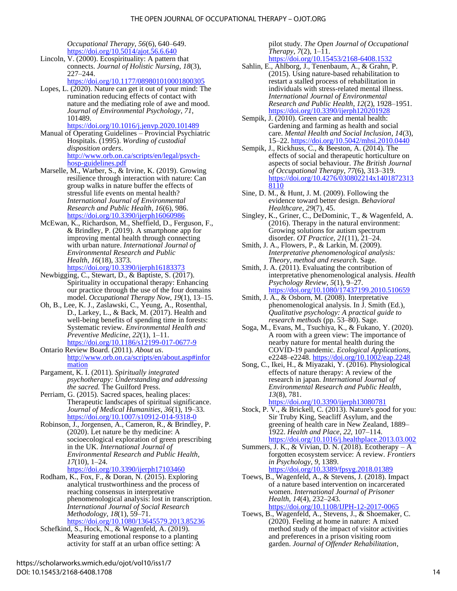*Occupational Therapy*, *56*(6), 640–649. <https://doi.org/10.5014/ajot.56.6.640>

Lincoln,  $\overline{V}$ . (2000). Ecospirituality: A pattern that connects. *Journal of Holistic Nursing*, *18*(3), 227–244.

<https://doi.org/10.1177/089801010001800305>

Lopes, L.  $(2020)$ . Nature can get it out of your mind: The rumination reducing effects of contact with nature and the mediating role of awe and mood. *Journal of Environmental Psychology*, *71*, 101489.

<https://doi.org/10.1016/j.jenvp.2020.101489>

- Manual of Operating Guidelines Provincial Psychiatric Hospitals. (1995). *Wording of custodial disposition orders*. [http://www.orb.on.ca/scripts/en/legal/psych](http://www.orb.on.ca/scripts/en/legal/psych-hosp-guidelines.pdf)[hosp-guidelines.pdf](http://www.orb.on.ca/scripts/en/legal/psych-hosp-guidelines.pdf)
- Marselle, M., Warber, S., & Irvine, K. (2019). Growing resilience through interaction with nature: Can group walks in nature buffer the effects of stressful life events on mental health? *International Journal of Environmental Research and Public Health*, *16*(6), 986. <https://doi.org/10.3390/ijerph16060986>
- McEwan, K., Richardson, M., Sheffield, D., Ferguson, F., & Brindley, P. (2019). A smartphone app for improving mental health through connecting with urban nature. *International Journal of Environmental Research and Public Health*, *16*(18), 3373. <https://doi.org/10.3390/ijerph16183373>
- Newbigging, C., Stewart, D., & Baptiste, S. (2017). Spirituality in occupational therapy: Enhancing our practice through the use of the four domains model. *Occupational Therapy Now*, *19*(1), 13–15.
- Oh, B., Lee, K. J., Zaslawski, C., Yeung, A., Rosenthal, D., Larkey, L., & Back, M. (2017). Health and well-being benefits of spending time in forests: Systematic review. *Environmental Health and Preventive Medicine*, *22*(1), 1–11. <https://doi.org/10.1186/s12199-017-0677-9>
- Ontario Review Board. (2011). *About us*. [http://www.orb.on.ca/scripts/en/about.asp#infor](http://www.orb.on.ca/scripts/en/about.asp%23information) [mation](http://www.orb.on.ca/scripts/en/about.asp%23information)
- Pargament, K. I. (2011). *Spiritually integrated psychotherapy: Understanding and addressing the sacred.* The Guilford Press.
- Perriam, G. (2015). Sacred spaces, healing places: Therapeutic landscapes of spiritual significance. *Journal of Medical Humanities*, *36*(1), 19–33. <https://doi.org/10.1007/s10912-014-9318-0>
- Robinson, J., Jorgensen, A., Cameron, R., & Brindley, P. (2020). Let nature be thy medicine: A socioecological exploration of green prescribing in the UK. *International Journal of Environmental Research and Public Health*, *17*(10), 1–24.

<https://doi.org/10.3390/ijerph17103460>

Rodham, K., Fox, F., & Doran, N. (2015). Exploring analytical trustworthiness and the process of reaching consensus in interpretative phenomenological analysis: lost in transcription. *International Journal of Social Research Methodology*, *18*(1), 59–71.

<https://doi.org/10.1080/13645579.2013.85236>

Schefkind, S., Hock, N., & Wagenfeld, A. (2019). Measuring emotional response to a planting activity for staff at an urban office setting: A pilot study. *The Open Journal of Occupational Therapy*, *7*(2), 1–11. <https://doi.org/10.15453/2168-6408.1532>

- Sahlin, E., Ahlborg, J., Tenenbaum, A., & Grahn, P. (2015). Using nature-based rehabilitation to restart a stalled process of rehabilitation in individuals with stress-related mental illness. *International Journal of Environmental Research and Public Health*, *12*(2), 1928–1951. <https://doi.org/10.3390/ijerph120201928>
- Sempik, J. (2010). Green care and mental health: Gardening and farming as health and social care. *Mental Health and Social Inclusion*, *14*(3), 15–22.<https://doi.org/10.5042/mhsi.2010.0440>
- Sempik, J., Rickhuss, C., & Beeston, A. (2014). The effects of social and therapeutic horticulture on aspects of social behaviour. *The British Journal of Occupational Therapy*, *77*(6), 313–319. [https://doi.org/10.4276/030802214x1401872313](https://doi.org/10.4276/030802214x14018723138110) [8110](https://doi.org/10.4276/030802214x14018723138110)
- Sine, D. M., & Hunt, J. M. (2009). Following the evidence toward better design. *Behavioral Healthcare*, *29*(7), 45.
- Singley, K., Griner, C., DeDominic, T., & Wagenfeld, A. (2016). Therapy in the natural environment: Growing solutions for autism spectrum disorder. *OT Practice*, *21*(11), 21–24.
- Smith, J. A., Flowers, P., & Larkin, M. (2009). *Interpretative phenomenological analysis: Theory, method and research*. Sage.
- Smith, J. A. (2011). Evaluating the contribution of interpretative phenomenological analysis. *Health Psychology Review*, *5*(1), 9–27. <https://doi.org/10.1080/17437199.2010.510659>
- Smith, J. A., & Osborn, M. (2008). Interpretative phenomenological analysis. In J. Smith (Ed.), *Qualitative psychology: A practical guide to research methods* (pp. 53–80). Sage.
- Soga, M., Evans, M., Tsuchiya, K., & Fukano, Y. (2020). A room with a green view: The importance of nearby nature for mental health during the COVID-19 pandemic. *Ecological Applications*, e2248–e2248. https://doi.org/10.1002/eap.2248
- Song, C., Ikei, H., & Miyazaki, Y. (2016). Physiological effects of nature therapy: A review of the research in japan. *International Journal of Environmental Research and Public Health*, *13*(8), 781. <https://doi.org/10.3390/ijerph13080781>
- Stock, P. V., & Brickell, C. (2013). Nature's good for you: Sir Truby King, Seacliff Asylum, and the greening of health care in New Zealand, 1889– 1922. *Health and Place*, *22*, 107–114. <https://doi.org/10.1016/j.healthplace.2013.03.002>
- Summers, J. K., & Vivian, D. N. (2018). Ecotherapy  $-A$ forgotten ecosystem service: A review. *Frontiers in Psychology*, *9*, 1389. <https://doi.org/10.3389/fpsyg.2018.01389>
- Toews, B., Wagenfeld, A., & Stevens, J. (2018). Impact of a nature based intervention on incarcerated women. *International Journal of Prisoner Health*, *14*(4), 232–243. <https://doi.org/10.1108/IJPH-12-2017-0065>
- Toews, B., Wagenfeld, A., Stevens, J., & Shoemaker, C. (2020). Feeling at home in nature: A mixed method study of the impact of visitor activities and preferences in a prison visiting room garden. *Journal of Offender Rehabilitation*,